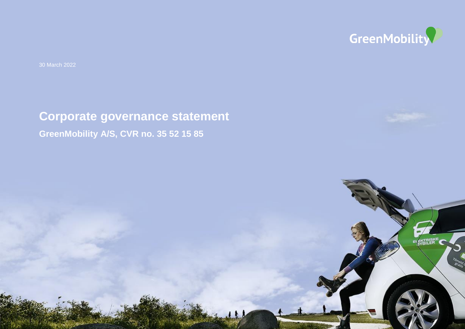

**ENTRISKE** 

30 March 2022

# **Corporate governance statement GreenMobility A/S, CVR no. 35 52 15 85**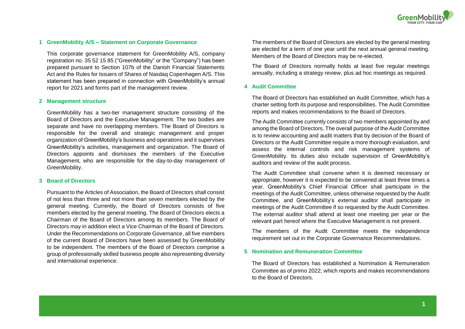# **1 GreenMobility A/S – Statement on Corporate Governance**

This corporate governance statement for GreenMobility A/S, company registration no. 35 52 15 85 ("GreenMobility" or the "Company") has been prepared pursuant to Section 107b of the Danish Financial Statements Act and the Rules for Issuers of Shares of Nasdaq Copenhagen A/S. This statement has been prepared in connection with GreenMobility's annual report for 2021 and forms part of the management review.

## **2 Management structure**

GreenMobility has a two-tier management structure consisting of the Board of Directors and the Executive Management. The two bodies are separate and have no overlapping members. The Board of Directors is responsible for the overall and strategic management and proper organization of GreenMobility's business and operations and it supervises GreenMobility's activities, management and organization. The Board of Directors appoints and dismisses the members of the Executive Management, who are responsible for the day-to-day management of GreenMobility.

### **3 Board of Directors**

Pursuant to the Articles of Association, the Board of Directors shall consist of not less than three and not more than seven members elected by the general meeting. Currently, the Board of Directors consists of five members elected by the general meeting. The Board of Directors elects a Chairman of the Board of Directors among its members. The Board of Directors may in addition elect a Vice Chairman of the Board of Directors. Under the Recommendations on Corporate Governance, all five members of the current Board of Directors have been assessed by GreenMobility to be independent. The members of the Board of Directors comprise a group of professionally skilled business people also representing diversity and international experience.

The members of the Board of Directors are elected by the general meeting are elected for a term of one year until the next annual general meeting. Members of the Board of Directors may be re-elected.

The Board of Directors normally holds at least five regular meetings annually, including a strategy review, plus ad hoc meetings as required.

# **4 Audit Committee**

The Board of Directors has established an Audit Committee, which has a charter setting forth its purpose and responsibilities. The Audit Committee reports and makes recommendations to the Board of Directors.

The Audit Committee currently consists of two members appointed by and among the Board of Directors. The overall purpose of the Audit Committee is to review accounting and audit matters that by decision of the Board of Directors or the Audit Committee require a more thorough evaluation, and assess the internal controls and risk management systems of GreenMobility. Its duties also include supervision of GreenMobility's auditors and review of the audit process.

The Audit Committee shall convene when it is deemed necessary or appropriate, however it is expected to be convened at least three times a year. GreenMobility's Chief Financial Officer shall participate in the meetings of the Audit Committee, unless otherwise requested by the Audit Committee, and GreenMobility's external auditor shall participate in meetings of the Audit Committee if so requested by the Audit Committee. The external auditor shall attend at least one meeting per year or the relevant part hereof where the Executive Management is not present.

The members of the Audit Committee meets the independence requirement set out in the Corporate Governance Recommendations.

# **5 Nomination and Remuneration Committee**

The Board of Directors has established a Nomination & Remuneration Committee as of primo 2022, which reports and makes recommendations to the Board of Directors.

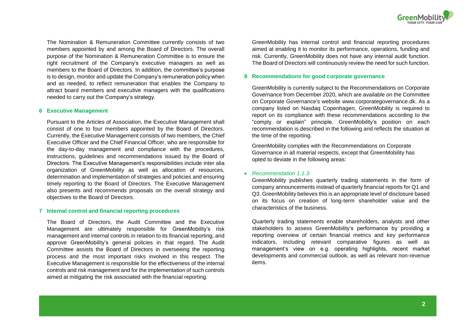

The Nomination & Remuneration Committee currently consists of two members appointed by and among the Board of Directors. The overall purpose of the Nomination & Remuneration Committee is to ensure the right recruitment of the Company's executive managers as well as members to the Board of Directors. In addition, the committee's purpose is to design, monitor and update the Company's remuneration policy when and as needed, to reflect remuneration that enables the Company to attract board members and executive managers with the qualifications needed to carry out the Company's strategy.

#### **6 Executive Management**

Pursuant to the Articles of Association, the Executive Management shall consist of one to four members appointed by the Board of Directors. Currently, the Executive Management consists of two members, the Chief Executive Officer and the Chief Financial Officer, who are responsible for the day-to-day management and compliance with the procedures, instructions, guidelines and recommendations issued by the Board of Directors. The Executive Management's responsibilities include inter alia organization of GreenMobility as well as allocation of resources, determination and implementation of strategies and policies and ensuring timely reporting to the Board of Directors. The Executive Management also presents and recommends proposals on the overall strategy and objectives to the Board of Directors.

#### **7 Internal control and financial reporting procedures**

The Board of Directors, the Audit Committee and the Executive Management are ultimately responsible for GreenMobility's risk management and internal controls in relation to its financial reporting, and approve GreenMobility's general policies in that regard. The Audit Committee assists the Board of Directors in overseeing the reporting process and the most important risks involved in this respect. The Executive Management is responsible for the effectiveness of the internal controls and risk management and for the implementation of such controls aimed at mitigating the risk associated with the financial reporting.

GreenMobility has internal control and financial reporting procedures aimed at enabling it to monitor its performance, operations, funding and risk. Currently, GreenMobility does not have any internal audit function. The Board of Directors will continuously review the need for such function.

# **8 Recommendations for good corporate governance**

GreenMobility is currently subject to the Recommendations on Corporate Governance from December 2020, which are available on the Committee on Corporate Governance's website [www.corporategovernance.dk.](http://www.corporategovernance.dk/) As a company listed on Nasdaq Copenhagen, GreenMobility is required to report on its compliance with these recommendations according to the "comply or explain" principle. GreenMobility's position on each recommendation is described in the following and reflects the situation at the time of the reporting.

GreenMobility complies with the Recommendations on Corporate Governance in all material respects, except that GreenMobility has opted to deviate in the following areas:

#### *Recommendation 1.1.3:*

GreenMobility publishes quarterly trading statements in the form of company announcements instead of quarterly financial reports for Q1 and Q3. GreenMobility believes this is an appropriate level of disclosure based on its focus on creation of long-term shareholder value and the characteristics of the business.

Quarterly trading statements enable shareholders, analysts and other stakeholders to assess GreenMobility's performance by providing a reporting overview of certain financial metrics and key performance indicators, including relevant comparative figures as well as management's view on e.g. operating highlights, recent market developments and commercial outlook, as well as relevant non-revenue items.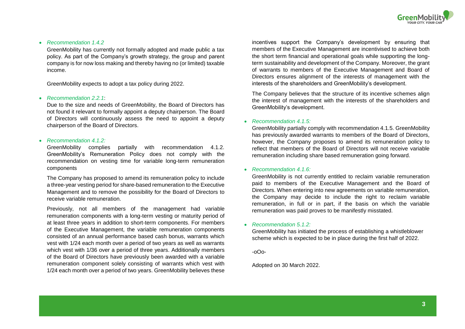

## *Recommendation 1.4.2*

GreenMobility has currently not formally adopted and made public a tax policy. As part of the Company's growth strategy, the group and parent company is for now loss making and thereby having no (or limited) taxable income.

GreenMobility expects to adopt a tax policy during 2022.

#### *Recommendation 2.2.1*:

Due to the size and needs of GreenMobility, the Board of Directors has not found it relevant to formally appoint a deputy chairperson. The Board of Directors will continuously assess the need to appoint a deputy chairperson of the Board of Directors.

#### *Recommendation 4.1.2:*

GreenMobility complies partially with recommendation 4.1.2. GreenMobility's Remuneration Policy does not comply with the recommendation on vesting time for variable long-term remuneration components

The Company has proposed to amend its remuneration policy to include a three-year vesting period for share-based remuneration to the Executive Management and to remove the possibility for the Board of Directors to receive variable remuneration.

Previously, not all members of the management had variable remuneration components with a long-term vesting or maturity period of at least three years in addition to short-term components. For members of the Executive Management, the variable remuneration components consisted of an annual performance based cash bonus, warrants which vest with 1/24 each month over a period of two years as well as warrants which vest with 1/36 over a period of three years. Additionally members of the Board of Directors have previously been awarded with a variable remuneration component solely consisting of warrants which vest with 1/24 each month over a period of two years. GreenMobility believes these

incentives support the Company's development by ensuring that members of the Executive Management are incentivised to achieve both the short term financial and operational goals while supporting the longterm sustainability and development of the Company. Moreover, the grant of warrants to members of the Executive Management and Board of Directors ensures alignment of the interests of management with the interests of the shareholders and GreenMobility's development.

The Company believes that the structure of its incentive schemes align the interest of management with the interests of the shareholders and GreenMobility's development.

#### *Recommendation 4.1.5:*

GreenMobility partially comply with recommendation 4.1.5. GreenMobility has previously awarded warrants to members of the Board of Directors, however, the Company proposes to amend its remuneration policy to reflect that members of the Board of Directors will not receive variable remuneration including share based remuneration going forward.

#### *Recommendation 4.1.6:*

GreenMobility is not currently entitled to reclaim variable remuneration paid to members of the Executive Management and the Board of Directors. When entering into new agreements on variable remuneration, the Company may decide to include the right to reclaim variable remuneration, in full or in part, if the basis on which the variable remuneration was paid proves to be manifestly misstated.

#### *Recommendation 5.1.2:*

GreenMobility has initiated the process of establishing a whistleblower scheme which is expected to be in place during the first half of 2022.

-oOo-

#### Adopted on 30 March 2022.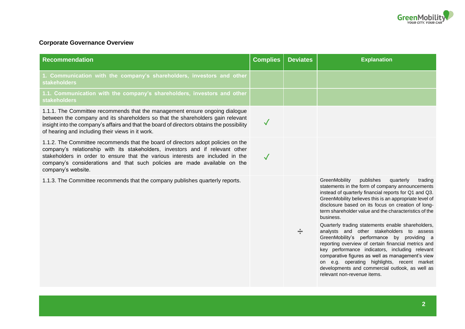

# **Corporate Governance Overview**

| <b>Recommendation</b>                                                                                                                                                                                                                                                                                                                                   | <b>Complies</b> | <b>Deviates</b> | <b>Explanation</b>                                                                                                                                                                                                                                                                                                                                                                                                                                                                                                                                                                                                                                                                                                                                                                                 |
|---------------------------------------------------------------------------------------------------------------------------------------------------------------------------------------------------------------------------------------------------------------------------------------------------------------------------------------------------------|-----------------|-----------------|----------------------------------------------------------------------------------------------------------------------------------------------------------------------------------------------------------------------------------------------------------------------------------------------------------------------------------------------------------------------------------------------------------------------------------------------------------------------------------------------------------------------------------------------------------------------------------------------------------------------------------------------------------------------------------------------------------------------------------------------------------------------------------------------------|
| 1. Communication with the company's shareholders, investors and other<br><b>stakeholders</b>                                                                                                                                                                                                                                                            |                 |                 |                                                                                                                                                                                                                                                                                                                                                                                                                                                                                                                                                                                                                                                                                                                                                                                                    |
| 1.1. Communication with the company's shareholders, investors and other<br><b>stakeholders</b>                                                                                                                                                                                                                                                          |                 |                 |                                                                                                                                                                                                                                                                                                                                                                                                                                                                                                                                                                                                                                                                                                                                                                                                    |
| 1.1.1. The Committee recommends that the management ensure ongoing dialogue<br>between the company and its shareholders so that the shareholders gain relevant<br>insight into the company's affairs and that the board of directors obtains the possibility<br>of hearing and including their views in it work.                                        | $\sqrt{2}$      |                 |                                                                                                                                                                                                                                                                                                                                                                                                                                                                                                                                                                                                                                                                                                                                                                                                    |
| 1.1.2. The Committee recommends that the board of directors adopt policies on the<br>company's relationship with its stakeholders, investors and if relevant other<br>stakeholders in order to ensure that the various interests are included in the<br>company's considerations and that such policies are made available on the<br>company's website. | $\sqrt{}$       |                 |                                                                                                                                                                                                                                                                                                                                                                                                                                                                                                                                                                                                                                                                                                                                                                                                    |
| 1.1.3. The Committee recommends that the company publishes quarterly reports.                                                                                                                                                                                                                                                                           |                 | ÷               | GreenMobility<br>publishes<br>quarterly<br>trading<br>statements in the form of company announcements<br>instead of quarterly financial reports for Q1 and Q3.<br>GreenMobility believes this is an appropriate level of<br>disclosure based on its focus on creation of long-<br>term shareholder value and the characteristics of the<br>business.<br>Quarterly trading statements enable shareholders,<br>analysts and other stakeholders to assess<br>GreenMobility's performance by providing a<br>reporting overview of certain financial metrics and<br>key performance indicators, including relevant<br>comparative figures as well as management's view<br>on e.g. operating highlights, recent market<br>developments and commercial outlook, as well as<br>relevant non-revenue items. |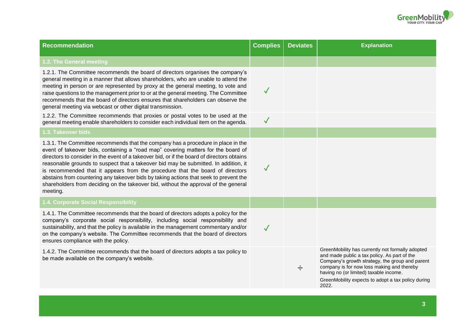

| <b>Recommendation</b>                                                                                                                                                                                                                                                                                                                                                                                                                                                                                                                                                                                                                   | <b>Complies</b> | <b>Deviates</b> | <b>Explanation</b>                                                                                                                                                                                                                                                                                         |
|-----------------------------------------------------------------------------------------------------------------------------------------------------------------------------------------------------------------------------------------------------------------------------------------------------------------------------------------------------------------------------------------------------------------------------------------------------------------------------------------------------------------------------------------------------------------------------------------------------------------------------------------|-----------------|-----------------|------------------------------------------------------------------------------------------------------------------------------------------------------------------------------------------------------------------------------------------------------------------------------------------------------------|
| 1.2. The General meeting                                                                                                                                                                                                                                                                                                                                                                                                                                                                                                                                                                                                                |                 |                 |                                                                                                                                                                                                                                                                                                            |
| 1.2.1. The Committee recommends the board of directors organises the company's<br>general meeting in a manner that allows shareholders, who are unable to attend the<br>meeting in person or are represented by proxy at the general meeting, to vote and<br>raise questions to the management prior to or at the general meeting. The Committee<br>recommends that the board of directors ensures that shareholders can observe the<br>general meeting via webcast or other digital transmission.                                                                                                                                      | $\checkmark$    |                 |                                                                                                                                                                                                                                                                                                            |
| 1.2.2. The Committee recommends that proxies or postal votes to be used at the<br>general meeting enable shareholders to consider each individual item on the agenda.                                                                                                                                                                                                                                                                                                                                                                                                                                                                   | $\checkmark$    |                 |                                                                                                                                                                                                                                                                                                            |
| 1.3. Takeover bids                                                                                                                                                                                                                                                                                                                                                                                                                                                                                                                                                                                                                      |                 |                 |                                                                                                                                                                                                                                                                                                            |
| 1.3.1. The Committee recommends that the company has a procedure in place in the<br>event of takeover bids, containing a "road map" covering matters for the board of<br>directors to consider in the event of a takeover bid, or if the board of directors obtains<br>reasonable grounds to suspect that a takeover bid may be submitted. In addition, it<br>is recommended that it appears from the procedure that the board of directors<br>abstains from countering any takeover bids by taking actions that seek to prevent the<br>shareholders from deciding on the takeover bid, without the approval of the general<br>meeting. | $\checkmark$    |                 |                                                                                                                                                                                                                                                                                                            |
| 1.4. Corporate Social Responsibility                                                                                                                                                                                                                                                                                                                                                                                                                                                                                                                                                                                                    |                 |                 |                                                                                                                                                                                                                                                                                                            |
| 1.4.1. The Committee recommends that the board of directors adopts a policy for the<br>company's corporate social responsibility, including social responsibility and<br>sustainability, and that the policy is available in the management commentary and/or<br>on the company's website. The Committee recommends that the board of directors<br>ensures compliance with the policy.                                                                                                                                                                                                                                                  | $\checkmark$    |                 |                                                                                                                                                                                                                                                                                                            |
| 1.4.2. The Committee recommends that the board of directors adopts a tax policy to<br>be made available on the company's website.                                                                                                                                                                                                                                                                                                                                                                                                                                                                                                       |                 | ÷               | GreenMobility has currently not formally adopted<br>and made public a tax policy. As part of the<br>Company's growth strategy, the group and parent<br>company is for now loss making and thereby<br>having no (or limited) taxable income.<br>GreenMobility expects to adopt a tax policy during<br>2022. |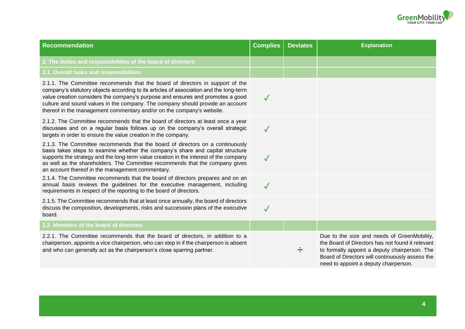

| <b>Recommendation</b>                                                                                                                                                                                                                                                                                                                                                                                                | <b>Complies</b> | <b>Deviates</b> | <b>Explanation</b>                                                                                                                                                                                                                           |
|----------------------------------------------------------------------------------------------------------------------------------------------------------------------------------------------------------------------------------------------------------------------------------------------------------------------------------------------------------------------------------------------------------------------|-----------------|-----------------|----------------------------------------------------------------------------------------------------------------------------------------------------------------------------------------------------------------------------------------------|
| 2. The duties and responsibilities of the board of directors                                                                                                                                                                                                                                                                                                                                                         |                 |                 |                                                                                                                                                                                                                                              |
| 2.1. Overall tasks and responsibilities                                                                                                                                                                                                                                                                                                                                                                              |                 |                 |                                                                                                                                                                                                                                              |
| 2.1.1. The Committee recommends that the board of directors in support of the<br>company's statutory objects according to its articles of association and the long-term<br>value creation considers the company's purpose and ensures and promotes a good<br>culture and sound values in the company. The company should provide an account<br>thereof in the management commentary and/or on the company's website. | $\checkmark$    |                 |                                                                                                                                                                                                                                              |
| 2.1.2. The Committee recommends that the board of directors at least once a year<br>discusses and on a regular basis follows up on the company's overall strategic<br>targets in order to ensure the value creation in the company.                                                                                                                                                                                  | $\sqrt{}$       |                 |                                                                                                                                                                                                                                              |
| 2.1.3. The Committee recommends that the board of directors on a continuously<br>basis takes steps to examine whether the company's share and capital structure<br>supports the strategy and the long-term value creation in the interest of the company<br>as well as the shareholders. The Committee recommends that the company gives<br>an account thereof in the management commentary.                         | $\checkmark$    |                 |                                                                                                                                                                                                                                              |
| 2.1.4. The Committee recommends that the board of directors prepares and on an<br>annual basis reviews the guidelines for the executive management, including<br>requirements in respect of the reporting to the board of directors.                                                                                                                                                                                 | $\checkmark$    |                 |                                                                                                                                                                                                                                              |
| 2.1.5. The Committee recommends that at least once annually, the board of directors<br>discuss the composition, developments, risks and succession plans of the executive<br>board.                                                                                                                                                                                                                                  | $\checkmark$    |                 |                                                                                                                                                                                                                                              |
| 2.2. Members of the board of directors                                                                                                                                                                                                                                                                                                                                                                               |                 |                 |                                                                                                                                                                                                                                              |
| 2.2.1. The Committee recommends that the board of directors, in addition to a<br>chairperson, appoints a vice chairperson, who can step in if the chairperson is absent<br>and who can generally act as the chairperson's close sparring partner.                                                                                                                                                                    |                 | ÷               | Due to the size and needs of GreenMobility,<br>the Board of Directors has not found it relevant<br>to formally appoint a deputy chairperson. The<br>Board of Directors will continuously assess the<br>need to appoint a deputy chairperson. |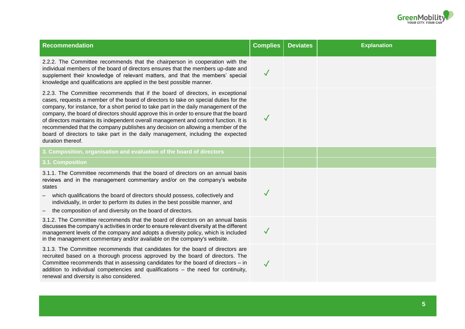

| <b>Recommendation</b>                                                                                                                                                                                                                                                                                                                                                                                                                                                                                                                                                                                                                        | <b>Complies</b> | <b>Deviates</b> | <b>Explanation</b> |
|----------------------------------------------------------------------------------------------------------------------------------------------------------------------------------------------------------------------------------------------------------------------------------------------------------------------------------------------------------------------------------------------------------------------------------------------------------------------------------------------------------------------------------------------------------------------------------------------------------------------------------------------|-----------------|-----------------|--------------------|
| 2.2.2. The Committee recommends that the chairperson in cooperation with the<br>individual members of the board of directors ensures that the members up-date and<br>supplement their knowledge of relevant matters, and that the members' special<br>knowledge and qualifications are applied in the best possible manner.                                                                                                                                                                                                                                                                                                                  | $\checkmark$    |                 |                    |
| 2.2.3. The Committee recommends that if the board of directors, in exceptional<br>cases, requests a member of the board of directors to take on special duties for the<br>company, for instance, for a short period to take part in the daily management of the<br>company, the board of directors should approve this in order to ensure that the board<br>of directors maintains its independent overall management and control function. It is<br>recommended that the company publishes any decision on allowing a member of the<br>board of directors to take part in the daily management, including the expected<br>duration thereof. | $\sqrt{}$       |                 |                    |
| 3. Composition, organisation and evaluation of the board of directors                                                                                                                                                                                                                                                                                                                                                                                                                                                                                                                                                                        |                 |                 |                    |
| 3.1. Composition                                                                                                                                                                                                                                                                                                                                                                                                                                                                                                                                                                                                                             |                 |                 |                    |
| 3.1.1. The Committee recommends that the board of directors on an annual basis<br>reviews and in the management commentary and/or on the company's website<br>states<br>which qualifications the board of directors should possess, collectively and<br>individually, in order to perform its duties in the best possible manner, and                                                                                                                                                                                                                                                                                                        | $\checkmark$    |                 |                    |
| the composition of and diversity on the board of directors.                                                                                                                                                                                                                                                                                                                                                                                                                                                                                                                                                                                  |                 |                 |                    |
| 3.1.2. The Committee recommends that the board of directors on an annual basis<br>discusses the company's activities in order to ensure relevant diversity at the different<br>management levels of the company and adopts a diversity policy, which is included<br>in the management commentary and/or available on the company's website.                                                                                                                                                                                                                                                                                                  | $\checkmark$    |                 |                    |
| 3.1.3. The Committee recommends that candidates for the board of directors are<br>recruited based on a thorough process approved by the board of directors. The<br>Committee recommends that in assessing candidates for the board of directors – in<br>addition to individual competencies and qualifications – the need for continuity,<br>renewal and diversity is also considered.                                                                                                                                                                                                                                                       | $\checkmark$    |                 |                    |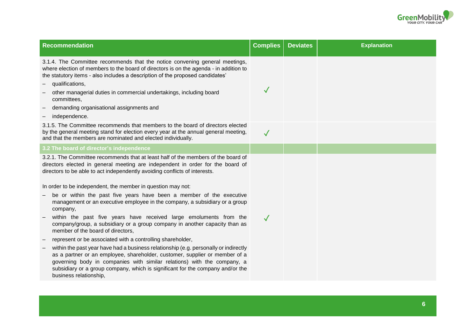

| <b>Recommendation</b>                                                                                                                                                                                                                                                                                                                                                                                                                                                                                                                                                                                                                                                                                                                                                                                                                                                                                                                                                                                                                                                                                    | <b>Complies</b> | <b>Deviates</b> | <b>Explanation</b> |
|----------------------------------------------------------------------------------------------------------------------------------------------------------------------------------------------------------------------------------------------------------------------------------------------------------------------------------------------------------------------------------------------------------------------------------------------------------------------------------------------------------------------------------------------------------------------------------------------------------------------------------------------------------------------------------------------------------------------------------------------------------------------------------------------------------------------------------------------------------------------------------------------------------------------------------------------------------------------------------------------------------------------------------------------------------------------------------------------------------|-----------------|-----------------|--------------------|
| 3.1.4. The Committee recommends that the notice convening general meetings,<br>where election of members to the board of directors is on the agenda - in addition to<br>the statutory items - also includes a description of the proposed candidates'<br>qualifications,<br>other managerial duties in commercial undertakings, including board<br>committees,<br>demanding organisational assignments and<br>independence.                                                                                                                                                                                                                                                                                                                                                                                                                                                                                                                                                                                                                                                                              | $\checkmark$    |                 |                    |
| 3.1.5. The Committee recommends that members to the board of directors elected<br>by the general meeting stand for election every year at the annual general meeting,<br>and that the members are nominated and elected individually.                                                                                                                                                                                                                                                                                                                                                                                                                                                                                                                                                                                                                                                                                                                                                                                                                                                                    | $\sqrt{}$       |                 |                    |
| 3.2 The board of director's independence                                                                                                                                                                                                                                                                                                                                                                                                                                                                                                                                                                                                                                                                                                                                                                                                                                                                                                                                                                                                                                                                 |                 |                 |                    |
| 3.2.1. The Committee recommends that at least half of the members of the board of<br>directors elected in general meeting are independent in order for the board of<br>directors to be able to act independently avoiding conflicts of interests.<br>In order to be independent, the member in question may not:<br>be or within the past five years have been a member of the executive<br>management or an executive employee in the company, a subsidiary or a group<br>company,<br>within the past five years have received large emoluments from the<br>company/group, a subsidiary or a group company in another capacity than as<br>member of the board of directors,<br>represent or be associated with a controlling shareholder,<br>within the past year have had a business relationship (e.g. personally or indirectly<br>as a partner or an employee, shareholder, customer, supplier or member of a<br>governing body in companies with similar relations) with the company, a<br>subsidiary or a group company, which is significant for the company and/or the<br>business relationship, | $\checkmark$    |                 |                    |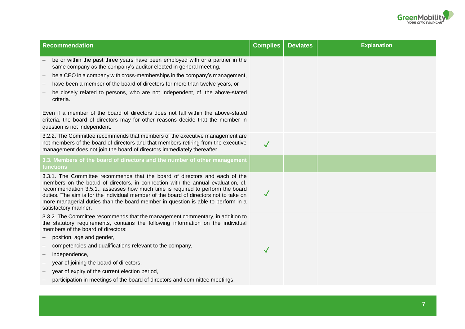

| <b>Recommendation</b>                                                                                                                                                                                                                                                                                                                                                                                                                                  | <b>Complies</b> | <b>Deviates</b> | <b>Explanation</b> |
|--------------------------------------------------------------------------------------------------------------------------------------------------------------------------------------------------------------------------------------------------------------------------------------------------------------------------------------------------------------------------------------------------------------------------------------------------------|-----------------|-----------------|--------------------|
| be or within the past three years have been employed with or a partner in the<br>same company as the company's auditor elected in general meeting,                                                                                                                                                                                                                                                                                                     |                 |                 |                    |
| be a CEO in a company with cross-memberships in the company's management,<br>-                                                                                                                                                                                                                                                                                                                                                                         |                 |                 |                    |
| have been a member of the board of directors for more than twelve years, or<br>—                                                                                                                                                                                                                                                                                                                                                                       |                 |                 |                    |
| be closely related to persons, who are not independent, cf. the above-stated<br>criteria.                                                                                                                                                                                                                                                                                                                                                              |                 |                 |                    |
| Even if a member of the board of directors does not fall within the above-stated<br>criteria, the board of directors may for other reasons decide that the member in<br>question is not independent.                                                                                                                                                                                                                                                   |                 |                 |                    |
| 3.2.2. The Committee recommends that members of the executive management are<br>not members of the board of directors and that members retiring from the executive<br>management does not join the board of directors immediately thereafter.                                                                                                                                                                                                          | $\checkmark$    |                 |                    |
| 3.3. Members of the board of directors and the number of other management<br>functions                                                                                                                                                                                                                                                                                                                                                                 |                 |                 |                    |
| 3.3.1. The Committee recommends that the board of directors and each of the<br>members on the board of directors, in connection with the annual evaluation, cf.<br>recommendation 3.5.1., assesses how much time is required to perform the board<br>duties. The aim is for the individual member of the board of directors not to take on<br>more managerial duties than the board member in question is able to perform in a<br>satisfactory manner. | $\checkmark$    |                 |                    |
| 3.3.2. The Committee recommends that the management commentary, in addition to<br>the statutory requirements, contains the following information on the individual<br>members of the board of directors:                                                                                                                                                                                                                                               |                 |                 |                    |
| position, age and gender,                                                                                                                                                                                                                                                                                                                                                                                                                              |                 |                 |                    |
| competencies and qualifications relevant to the company,                                                                                                                                                                                                                                                                                                                                                                                               | $\checkmark$    |                 |                    |
| independence,                                                                                                                                                                                                                                                                                                                                                                                                                                          |                 |                 |                    |
| year of joining the board of directors,<br>$\qquad \qquad -$                                                                                                                                                                                                                                                                                                                                                                                           |                 |                 |                    |
| year of expiry of the current election period,                                                                                                                                                                                                                                                                                                                                                                                                         |                 |                 |                    |
| participation in meetings of the board of directors and committee meetings,                                                                                                                                                                                                                                                                                                                                                                            |                 |                 |                    |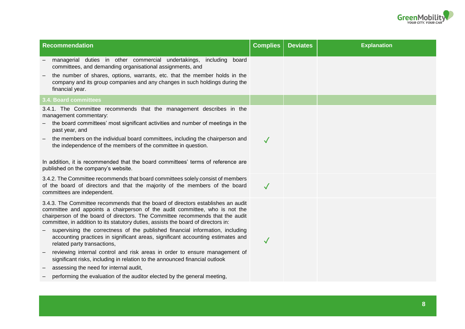

| <b>Recommendation</b>                                                                                                                                                                                                                                                                                                                   | <b>Complies</b> | <b>Deviates</b> | <b>Explanation</b> |
|-----------------------------------------------------------------------------------------------------------------------------------------------------------------------------------------------------------------------------------------------------------------------------------------------------------------------------------------|-----------------|-----------------|--------------------|
| managerial duties in other commercial undertakings, including board<br>committees, and demanding organisational assignments, and                                                                                                                                                                                                        |                 |                 |                    |
| the number of shares, options, warrants, etc. that the member holds in the<br>company and its group companies and any changes in such holdings during the<br>financial year.                                                                                                                                                            |                 |                 |                    |
| <b>3.4. Board committees</b>                                                                                                                                                                                                                                                                                                            |                 |                 |                    |
| 3.4.1. The Committee recommends that the management describes in the<br>management commentary:<br>the board committees' most significant activities and number of meetings in the                                                                                                                                                       |                 |                 |                    |
| past year, and                                                                                                                                                                                                                                                                                                                          |                 |                 |                    |
| the members on the individual board committees, including the chairperson and<br>the independence of the members of the committee in question.                                                                                                                                                                                          | $\checkmark$    |                 |                    |
| In addition, it is recommended that the board committees' terms of reference are<br>published on the company's website.                                                                                                                                                                                                                 |                 |                 |                    |
| 3.4.2. The Committee recommends that board committees solely consist of members<br>of the board of directors and that the majority of the members of the board<br>committees are independent.                                                                                                                                           | $\sqrt{}$       |                 |                    |
| 3.4.3. The Committee recommends that the board of directors establishes an audit<br>committee and appoints a chairperson of the audit committee, who is not the<br>chairperson of the board of directors. The Committee recommends that the audit<br>committee, in addition to its statutory duties, assists the board of directors in: |                 |                 |                    |
| supervising the correctness of the published financial information, including<br>accounting practices in significant areas, significant accounting estimates and<br>related party transactions,                                                                                                                                         | $\checkmark$    |                 |                    |
| reviewing internal control and risk areas in order to ensure management of<br>significant risks, including in relation to the announced financial outlook<br>assessing the need for internal audit,                                                                                                                                     |                 |                 |                    |
| performing the evaluation of the auditor elected by the general meeting,                                                                                                                                                                                                                                                                |                 |                 |                    |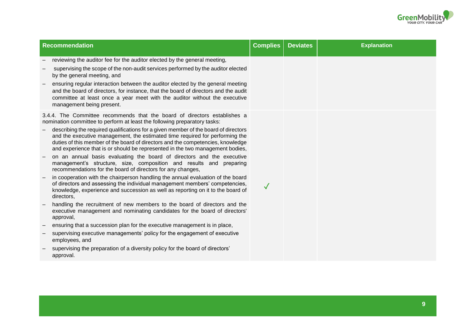

| <b>Recommendation</b>                                                                                                                                                                                                                                                                                                                   | <b>Complies</b> | <b>Deviates</b> | <b>Explanation</b> |
|-----------------------------------------------------------------------------------------------------------------------------------------------------------------------------------------------------------------------------------------------------------------------------------------------------------------------------------------|-----------------|-----------------|--------------------|
| reviewing the auditor fee for the auditor elected by the general meeting,                                                                                                                                                                                                                                                               |                 |                 |                    |
| supervising the scope of the non-audit services performed by the auditor elected<br>by the general meeting, and                                                                                                                                                                                                                         |                 |                 |                    |
| ensuring regular interaction between the auditor elected by the general meeting<br>and the board of directors, for instance, that the board of directors and the audit<br>committee at least once a year meet with the auditor without the executive<br>management being present.                                                       |                 |                 |                    |
| 3.4.4. The Committee recommends that the board of directors establishes a<br>nomination committee to perform at least the following preparatory tasks:                                                                                                                                                                                  |                 |                 |                    |
| describing the required qualifications for a given member of the board of directors<br>and the executive management, the estimated time required for performing the<br>duties of this member of the board of directors and the competencies, knowledge<br>and experience that is or should be represented in the two management bodies, |                 |                 |                    |
| on an annual basis evaluating the board of directors and the executive<br>management's structure, size, composition and results and preparing<br>recommendations for the board of directors for any changes,                                                                                                                            |                 |                 |                    |
| in cooperation with the chairperson handling the annual evaluation of the board<br>of directors and assessing the individual management members' competencies,<br>knowledge, experience and succession as well as reporting on it to the board of<br>directors,                                                                         | $\checkmark$    |                 |                    |
| handling the recruitment of new members to the board of directors and the<br>executive management and nominating candidates for the board of directors'<br>approval,                                                                                                                                                                    |                 |                 |                    |
| ensuring that a succession plan for the executive management is in place,                                                                                                                                                                                                                                                               |                 |                 |                    |
| supervising executive managements' policy for the engagement of executive<br>employees, and                                                                                                                                                                                                                                             |                 |                 |                    |
| supervising the preparation of a diversity policy for the board of directors'<br>approval.                                                                                                                                                                                                                                              |                 |                 |                    |
|                                                                                                                                                                                                                                                                                                                                         |                 |                 |                    |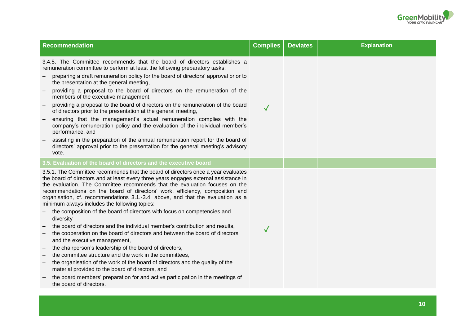

| <b>Recommendation</b>                                                                                                                                                                                                                                                                                                                                                                                                                                                                                                                                                                                                                                                                                                                                                                                                                                                                                                                                                                                                                                                                                                                                                      | <b>Complies</b> | <b>Deviates</b> | <b>Explanation</b> |
|----------------------------------------------------------------------------------------------------------------------------------------------------------------------------------------------------------------------------------------------------------------------------------------------------------------------------------------------------------------------------------------------------------------------------------------------------------------------------------------------------------------------------------------------------------------------------------------------------------------------------------------------------------------------------------------------------------------------------------------------------------------------------------------------------------------------------------------------------------------------------------------------------------------------------------------------------------------------------------------------------------------------------------------------------------------------------------------------------------------------------------------------------------------------------|-----------------|-----------------|--------------------|
| 3.4.5. The Committee recommends that the board of directors establishes a<br>remuneration committee to perform at least the following preparatory tasks:<br>preparing a draft remuneration policy for the board of directors' approval prior to<br>the presentation at the general meeting,<br>providing a proposal to the board of directors on the remuneration of the<br>members of the executive management,<br>providing a proposal to the board of directors on the remuneration of the board<br>of directors prior to the presentation at the general meeting,<br>ensuring that the management's actual remuneration complies with the<br>company's remuneration policy and the evaluation of the individual member's<br>performance, and<br>assisting in the preparation of the annual remuneration report for the board of<br>directors' approval prior to the presentation for the general meeting's advisory<br>vote.                                                                                                                                                                                                                                           | $\sqrt{}$       |                 |                    |
| 3.5. Evaluation of the board of directors and the executive board                                                                                                                                                                                                                                                                                                                                                                                                                                                                                                                                                                                                                                                                                                                                                                                                                                                                                                                                                                                                                                                                                                          |                 |                 |                    |
| 3.5.1. The Committee recommends that the board of directors once a year evaluates<br>the board of directors and at least every three years engages external assistance in<br>the evaluation. The Committee recommends that the evaluation focuses on the<br>recommendations on the board of directors' work, efficiency, composition and<br>organisation, cf. recommendations 3.1.-3.4. above, and that the evaluation as a<br>minimum always includes the following topics:<br>the composition of the board of directors with focus on competencies and<br>diversity<br>the board of directors and the individual member's contribution and results,<br>the cooperation on the board of directors and between the board of directors<br>and the executive management,<br>the chairperson's leadership of the board of directors,<br>the committee structure and the work in the committees,<br>the organisation of the work of the board of directors and the quality of the<br>$\overline{\phantom{m}}$<br>material provided to the board of directors, and<br>the board members' preparation for and active participation in the meetings of<br>the board of directors. | $\checkmark$    |                 |                    |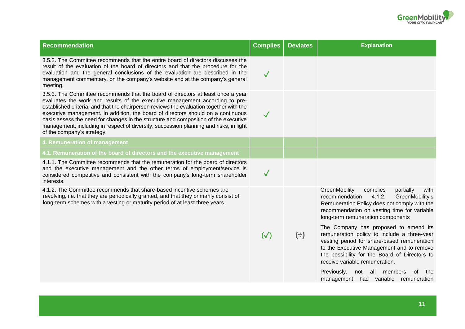

| <b>Recommendation</b>                                                                                                                                                                                                                                                                                                                                                                                                                                                                                                                                          | <b>Complies</b> | <b>Deviates</b> | <b>Explanation</b>                                                                                                                                                                                                                                                  |
|----------------------------------------------------------------------------------------------------------------------------------------------------------------------------------------------------------------------------------------------------------------------------------------------------------------------------------------------------------------------------------------------------------------------------------------------------------------------------------------------------------------------------------------------------------------|-----------------|-----------------|---------------------------------------------------------------------------------------------------------------------------------------------------------------------------------------------------------------------------------------------------------------------|
| 3.5.2. The Committee recommends that the entire board of directors discusses the<br>result of the evaluation of the board of directors and that the procedure for the<br>evaluation and the general conclusions of the evaluation are described in the<br>management commentary, on the company's website and at the company's general<br>meeting.                                                                                                                                                                                                             | $\checkmark$    |                 |                                                                                                                                                                                                                                                                     |
| 3.5.3. The Committee recommends that the board of directors at least once a year<br>evaluates the work and results of the executive management according to pre-<br>established criteria, and that the chairperson reviews the evaluation together with the<br>executive management. In addition, the board of directors should on a continuous<br>basis assess the need for changes in the structure and composition of the executive<br>management, including in respect of diversity, succession planning and risks, in light<br>of the company's strategy. | $\checkmark$    |                 |                                                                                                                                                                                                                                                                     |
| 4. Remuneration of management                                                                                                                                                                                                                                                                                                                                                                                                                                                                                                                                  |                 |                 |                                                                                                                                                                                                                                                                     |
| 4.1. Remuneration of the board of directors and the executive management                                                                                                                                                                                                                                                                                                                                                                                                                                                                                       |                 |                 |                                                                                                                                                                                                                                                                     |
| 4.1.1. The Committee recommends that the remuneration for the board of directors<br>and the executive management and the other terms of employment/service is<br>considered competitive and consistent with the company's long-term shareholder<br>interests.                                                                                                                                                                                                                                                                                                  | $\checkmark$    |                 |                                                                                                                                                                                                                                                                     |
| 4.1.2. The Committee recommends that share-based incentive schemes are<br>revolving, i.e. that they are periodically granted, and that they primarily consist of<br>long-term schemes with a vesting or maturity period of at least three years.                                                                                                                                                                                                                                                                                                               |                 |                 | GreenMobility<br>complies<br>partially<br>with<br>4.1.2.<br>GreenMobility's<br>recommendation<br>Remuneration Policy does not comply with the<br>recommendation on vesting time for variable<br>long-term remuneration components                                   |
|                                                                                                                                                                                                                                                                                                                                                                                                                                                                                                                                                                | $(\sqrt{2})$    | $(\div)$        | The Company has proposed to amend its<br>remuneration policy to include a three-year<br>vesting period for share-based remuneration<br>to the Executive Management and to remove<br>the possibility for the Board of Directors to<br>receive variable remuneration. |
|                                                                                                                                                                                                                                                                                                                                                                                                                                                                                                                                                                |                 |                 | Previously, not all members<br>0f<br>the<br>management had variable remuneration                                                                                                                                                                                    |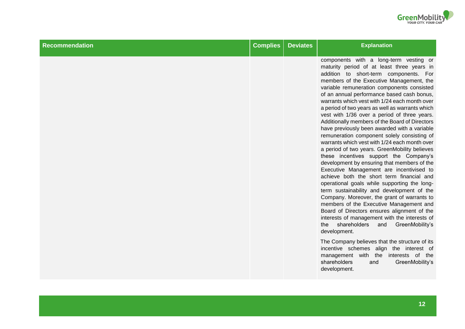

| Recommendation | <b>Complies</b> | <b>Deviates</b> | <b>Explanation</b>                                                                                                                                                                                                                                                                                                                                                                                                                                                                                                                                                                                                                                                                                                                                                                                                                                                                                                                                                                                                                                                                                                                                                                                                       |
|----------------|-----------------|-----------------|--------------------------------------------------------------------------------------------------------------------------------------------------------------------------------------------------------------------------------------------------------------------------------------------------------------------------------------------------------------------------------------------------------------------------------------------------------------------------------------------------------------------------------------------------------------------------------------------------------------------------------------------------------------------------------------------------------------------------------------------------------------------------------------------------------------------------------------------------------------------------------------------------------------------------------------------------------------------------------------------------------------------------------------------------------------------------------------------------------------------------------------------------------------------------------------------------------------------------|
|                |                 |                 | components with a long-term vesting or<br>maturity period of at least three years in<br>addition to short-term components. For<br>members of the Executive Management, the<br>variable remuneration components consisted<br>of an annual performance based cash bonus,<br>warrants which vest with 1/24 each month over<br>a period of two years as well as warrants which<br>vest with 1/36 over a period of three years.<br>Additionally members of the Board of Directors<br>have previously been awarded with a variable<br>remuneration component solely consisting of<br>warrants which vest with 1/24 each month over<br>a period of two years. GreenMobility believes<br>these incentives support the Company's<br>development by ensuring that members of the<br>Executive Management are incentivised to<br>achieve both the short term financial and<br>operational goals while supporting the long-<br>term sustainability and development of the<br>Company. Moreover, the grant of warrants to<br>members of the Executive Management and<br>Board of Directors ensures alignment of the<br>interests of management with the interests of<br>shareholders<br>and<br>GreenMobility's<br>the<br>development. |
|                |                 |                 | The Company believes that the structure of its<br>incentive schemes align the interest of<br>management with the interests of the<br>shareholders<br>GreenMobility's<br>and<br>development.                                                                                                                                                                                                                                                                                                                                                                                                                                                                                                                                                                                                                                                                                                                                                                                                                                                                                                                                                                                                                              |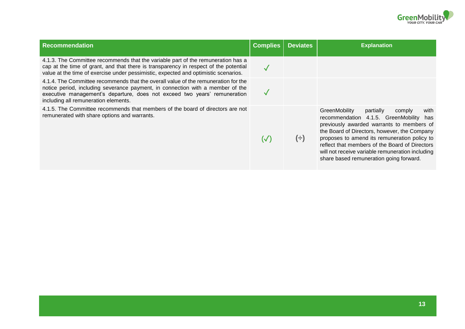

| <b>Recommendation</b>                                                                                                                                                                                                                                                                     | <b>Complies</b> | <b>Deviates</b> | <b>Explanation</b>                                                                                                                                                                                                                                                                                                                                                                       |
|-------------------------------------------------------------------------------------------------------------------------------------------------------------------------------------------------------------------------------------------------------------------------------------------|-----------------|-----------------|------------------------------------------------------------------------------------------------------------------------------------------------------------------------------------------------------------------------------------------------------------------------------------------------------------------------------------------------------------------------------------------|
| 4.1.3. The Committee recommends that the variable part of the remuneration has a<br>cap at the time of grant, and that there is transparency in respect of the potential<br>value at the time of exercise under pessimistic, expected and optimistic scenarios.                           |                 |                 |                                                                                                                                                                                                                                                                                                                                                                                          |
| 4.1.4. The Committee recommends that the overall value of the remuneration for the<br>notice period, including severance payment, in connection with a member of the<br>executive management's departure, does not exceed two years' remuneration<br>including all remuneration elements. |                 |                 |                                                                                                                                                                                                                                                                                                                                                                                          |
| 4.1.5. The Committee recommends that members of the board of directors are not<br>remunerated with share options and warrants.                                                                                                                                                            | $(\surd)$       | $(\div)$        | GreenMobility<br>partially<br>comply<br>with<br>recommendation 4.1.5. GreenMobility<br>has<br>previously awarded warrants to members of<br>the Board of Directors, however, the Company<br>proposes to amend its remuneration policy to<br>reflect that members of the Board of Directors<br>will not receive variable remuneration including<br>share based remuneration going forward. |